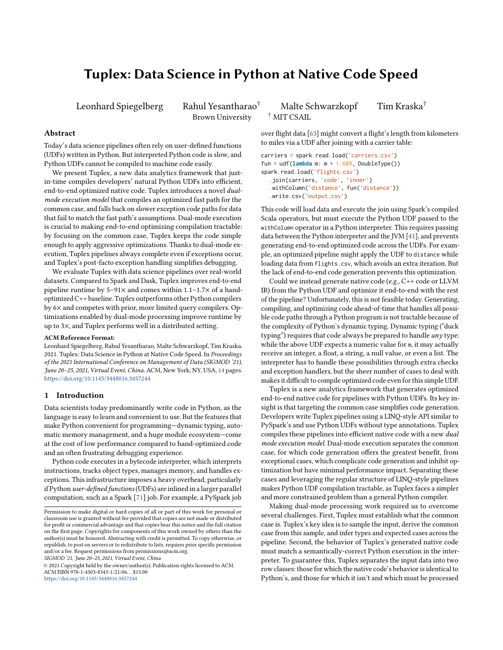# Tuplex: Data Science in Python at Native Code Speed

Brown University † MIT CSAIL

## Abstract

Today's data science pipelines often rely on user-defined functions (UDFs) written in Python. But interpreted Python code is slow, and Python UDFs cannot be compiled to machine code easily.

We present Tuplex, a new data analytics framework that justin-time compiles developers' natural Python UDFs into efficient, end-to-end optimized native code. Tuplex introduces a novel dualmode execution model that compiles an optimized fast path for the common case, and falls back on slower exception code paths for data that fail to match the fast path's assumptions. Dual-mode execution is crucial to making end-to-end optimizing compilation tractable: by focusing on the common case, Tuplex keeps the code simple enough to apply aggressive optimizations. Thanks to dual-mode execution, Tuplex pipelines always complete even if exceptions occur, and Tuplex's post-facto exception handling simplifies debugging.

We evaluate Tuplex with data science pipelines over real-world datasets. Compared to Spark and Dask, Tuplex improves end-to-end pipeline runtime by  $5-91\times$  and comes within  $1.1-1.7\times$  of a handoptimized C++ baseline. Tuplex outperforms other Python compilers by 6× and competes with prior, more limited query compilers. Optimizations enabled by dual-mode processing improve runtime by up to 3×, and Tuplex performs well in a distributed setting.

## ACM Reference Format:

Leonhard Spiegelberg, Rahul Yesantharao, Malte Schwarzkopf, Tim Kraska. 2021. Tuplex: Data Science in Python at Native Code Speed. In Proceedings of the 2021 International Conference on Management of Data (SIGMOD '21), June 20–25, 2021, Virtual Event, China. ACM, New York, NY, USA, [14](#page-13-0) pages. <https://doi.org/10.1145/3448016.3457244>

## <span id="page-0-0"></span>1 Introduction

Data scientists today predominantly write code in Python, as the language is easy to learn and convenient to use. But the features that make Python convenient for programming—dynamic typing, automatic memory management, and a huge module ecosystem—come at the cost of low performance compared to hand-optimized code and an often frustrating debugging experience.

Python code executes in a bytecode interpreter, which interprets instructions, tracks object types, manages memory, and handles exceptions. This infrastructure imposes a heavy overhead, particularly if Python user-defined functions (UDFs) are inlined in a larger parallel computation, such as a Spark [\[71\]](#page-13-1) job. For example, a PySpark job

SIGMOD '21, June 20–25, 2021, Virtual Event, China

© 2021 Copyright held by the owner/author(s). Publication rights licensed to ACM. ACM ISBN 978-1-4503-8343-1/21/06. . . \$15.00 <https://doi.org/10.1145/3448016.3457244>

Leonhard Spiegelberg Rahul Yesantharao<sup>†</sup> Malte Schwarzkopf Tim Kraska<sup>†</sup>

over flight data [\[63\]](#page-13-2) might convert a flight's length from kilometers to miles via a UDF after joining with a carrier table:

```
carriers = spark.read.load('carriers.csv')
fun = udf(lambda m: m * 1.609, DoubleType())
spark.read.load('flights.csv')
  .join(carriers, 'code', 'inner')
  .withColumn('distance', fun('distance'))
  .write.csv('output.csv')
```
This code will load data and execute the join using Spark's compiled Scala operators, but must execute the Python UDF passed to the withColumn operator in a Python interpreter. This requires passing data between the Python interpreter and the JVM [\[41\]](#page-12-0), and prevents generating end-to-end optimized code across the UDFs. For example, an optimized pipeline might apply the UDF to distance while loading data from flights.csv, which avoids an extra iteration. But the lack of end-to-end code generation prevents this optimization.

Could we instead generate native code (e.g., C++ code or LLVM IR) from the Python UDF and optimize it end-to-end with the rest of the pipeline? Unfortunately, this is not feasible today. Generating, compiling, and optimizing code ahead-of-time that handles all possible code paths through a Python program is not tractable because of the complexity of Python's dynamic typing. Dynamic typing ("duck typing") requires that code always be prepared to handle any type: while the above UDF expects a numeric value for m, it may actually receive an integer, a float, a string, a null value, or even a list. The interpreter has to handle these possibilities through extra checks and exception handlers, but the sheer number of cases to deal with makes it difficult to compile optimized code even for this simple UDF.

Tuplex is a new analytics framework that generates optimized end-to-end native code for pipelines with Python UDFs. Its key insight is that targeting the common case simplifies code generation. Developers write Tuplex pipelines using a LINQ-style API similar to PySpark's and use Python UDFs without type annotations. Tuplex compiles these pipelines into efficient native code with a new dual mode execution model. Dual-mode execution separates the common case, for which code generation offers the greatest benefit, from exceptional cases, which complicate code generation and inhibit optimization but have minimal performance impact. Separating these cases and leveraging the regular structure of LINQ-style pipelines makes Python UDF compilation tractable, as Tuplex faces a simpler and more constrained problem than a general Python compiler.

Making dual-mode processing work required us to overcome several challenges. First, Tuplex must establish what the common case is. Tuplex's key idea is to sample the input, derive the common case from this sample, and infer types and expected cases across the pipeline. Second, the behavior of Tuplex's generated native code must match a semantically-correct Python execution in the interpreter. To guarantee this, Tuplex separates the input data into two row classes: those for which the native code's behavior is identical to Python's, and those for which it isn't and which must be processed

Permission to make digital or hard copies of all or part of this work for personal or classroom use is granted without fee provided that copies are not made or distributed for profit or commercial advantage and that copies bear this notice and the full citation on the first page. Copyrights for components of this work owned by others than the author(s) must be honored. Abstracting with credit is permitted. To copy otherwise, or republish, to post on servers or to redistribute to lists, requires prior specific permission and/or a fee. Request permissions from permissions@acm.org.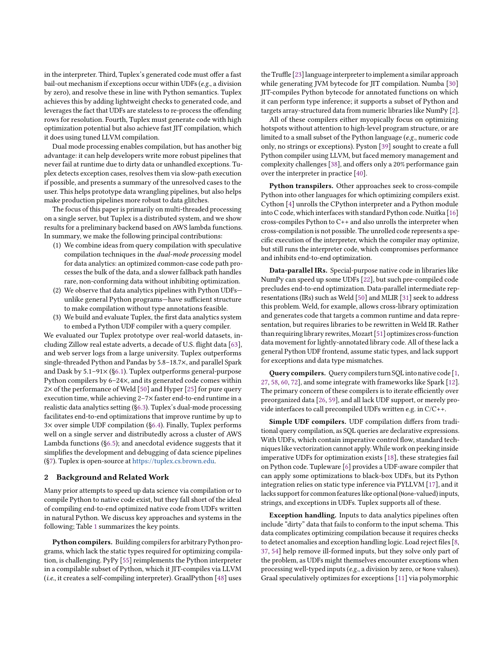in the interpreter. Third, Tuplex's generated code must offer a fast bail-out mechanism if exceptions occur within UDFs (e.g., a division by zero), and resolve these in line with Python semantics. Tuplex achieves this by adding lightweight checks to generated code, and leverages the fact that UDFs are stateless to re-process the offending rows for resolution. Fourth, Tuplex must generate code with high optimization potential but also achieve fast JIT compilation, which it does using tuned LLVM compilation.

Dual mode processing enables compilation, but has another big advantage: it can help developers write more robust pipelines that never fail at runtime due to dirty data or unhandled exceptions. Tuplex detects exception cases, resolves them via slow-path execution if possible, and presents a summary of the unresolved cases to the user. This helps prototype data wrangling pipelines, but also helps make production pipelines more robust to data glitches.

The focus of this paper is primarily on multi-threaded processing on a single server, but Tuplex is a distributed system, and we show results for a preliminary backend based on AWS lambda functions. In summary, we make the following principal contributions:

- (1) We combine ideas from query compilation with speculative compilation techniques in the dual-mode processing model for data analytics: an optimized common-case code path processes the bulk of the data, and a slower fallback path handles rare, non-conforming data without inhibiting optimization.
- (2) We observe that data analytics pipelines with Python UDFs unlike general Python programs—have sufficient structure to make compilation without type annotations feasible.
- (3) We build and evaluate Tuplex, the first data analytics system to embed a Python UDF compiler with a query compiler.

We evaluated our Tuplex prototype over real-world datasets, including Zillow real estate adverts, a decade of U.S. flight data [\[63\]](#page-13-2), and web server logs from a large university. Tuplex outperforms single-threaded Python and Pandas by 5.8–18.7×, and parallel Spark and Dask by 5.1–91× ([§6.1\)](#page-6-0). Tuplex outperforms general-purpose Python compilers by 6–24×, and its generated code comes within 2× of the performance of Weld [\[50\]](#page-13-3) and Hyper [\[25\]](#page-12-1) for pure query execution time, while achieving 2–7× faster end-to-end runtime in a realistic data analytics setting ([§6.3\)](#page-8-0). Tuplex's dual-mode processing facilitates end-to-end optimizations that improve runtime by up to 3× over simple UDF compilation ([§6.4\)](#page-10-0). Finally, Tuplex performs well on a single server and distributedly across a cluster of AWS Lambda functions ([§6.5\)](#page-11-0); and anecdotal evidence suggests that it simplifies the development and debugging of data science pipelines ([§7\)](#page-11-1). Tuplex is open-source at [https://tuplex.cs.brown.edu.](https://tuplex.cs.brown.edu)

# 2 Background and Related Work

Many prior attempts to speed up data science via compilation or to compile Python to native code exist, but they fall short of the ideal of compiling end-to-end optimized native code from UDFs written in natural Python. We discuss key approaches and systems in the following; Table [1](#page-2-0) summarizes the key points.

Python compilers. Building compilers for arbitrary Python programs, which lack the static types required for optimizing compilation, is challenging. PyPy [\[55\]](#page-13-4) reimplements the Python interpreter in a compilable subset of Python, which it JIT-compiles via LLVM (i.e., it creates a self-compiling interpreter). GraalPython [\[48\]](#page-13-5) uses

the Truffle [\[23\]](#page-12-2) language interpreter to implement a similar approach while generating JVM bytecode for JIT compilation. Numba [\[30\]](#page-12-3) JIT-compiles Python bytecode for annotated functions on which it can perform type inference; it supports a subset of Python and targets array-structured data from numeric libraries like NumPy [\[2\]](#page-12-4).

All of these compilers either myopically focus on optimizing hotspots without attention to high-level program structure, or are limited to a small subset of the Python language (e.g., numeric code only, no strings or exceptions). Pyston [\[39\]](#page-12-5) sought to create a full Python compiler using LLVM, but faced memory management and complexity challenges [\[38\]](#page-12-6), and offers only a 20% performance gain over the interpreter in practice [\[40\]](#page-12-7).

Python transpilers. Other approaches seek to cross-compile Python into other languages for which optimizing compilers exist. Cython [\[4\]](#page-12-8) unrolls the CPython interpreter and a Python module into C code, which interfaces with standard Python code. Nuitka [\[16\]](#page-12-9) cross-compiles Python to C++ and also unrolls the interpreter when cross-compilation is not possible. The unrolled code represents a specific execution of the interpreter, which the compiler may optimize, but still runs the interpreter code, which compromises performance and inhibits end-to-end optimization.

Data-parallel IRs. Special-purpose native code in libraries like NumPy can speed up some UDFs [\[22\]](#page-12-10), but such pre-compiled code precludes end-to-end optimization. Data-parallel intermediate representations (IRs) such as Weld [\[50\]](#page-13-3) and MLIR [\[31\]](#page-12-11) seek to address this problem. Weld, for example, allows cross-library optimization and generates code that targets a common runtime and data representation, but requires libraries to be rewritten in Weld IR. Rather than requiring library rewrites, Mozart [\[51\]](#page-13-6) optimizes cross-function data movement for lightly-annotated library code. All of these lack a general Python UDF frontend, assume static types, and lack support for exceptions and data type mismatches.

Query compilers. Query compilers turn SQL into native code [\[1,](#page-12-12) [27,](#page-12-13) [58,](#page-13-7) [60,](#page-13-8) [72\]](#page-13-9), and some integrate with frameworks like Spark [\[12\]](#page-12-14). The primary concern of these compilers is to iterate efficiently over preorganized data [\[26,](#page-12-15) [59\]](#page-13-10), and all lack UDF support, or merely provide interfaces to call precompiled UDFs written e.g. in C/C++.

Simple UDF compilers. UDF compilation differs from traditional query compilation, as SQL queries are declarative expressions. With UDFs, which contain imperative control flow, standard techniques like vectorization cannot apply.While work on peeking inside imperative UDFs for optimization exists [\[18\]](#page-12-16), these strategies fail on Python code. Tupleware [\[6\]](#page-12-17) provides a UDF-aware compiler that can apply some optimizations to black-box UDFs, but its Python integration relies on static type inference via PYLLVM [\[17\]](#page-12-18), and it lacks support for common features like optional(None-valued) inputs, strings, and exceptions in UDFs. Tuplex supports all of these.

Exception handling. Inputs to data analytics pipelines often include "dirty" data that fails to conform to the input schema. This data complicates optimizing compilation because it requires checks to detect anomalies and exception handling logic. Load reject files [\[8,](#page-12-19) [37,](#page-12-20) [54\]](#page-13-11) help remove ill-formed inputs, but they solve only part of the problem, as UDFs might themselves encounter exceptions when processing well-typed inputs (e.g., a division by zero, or None values). Graal speculatively optimizes for exceptions [\[11\]](#page-12-21) via polymorphic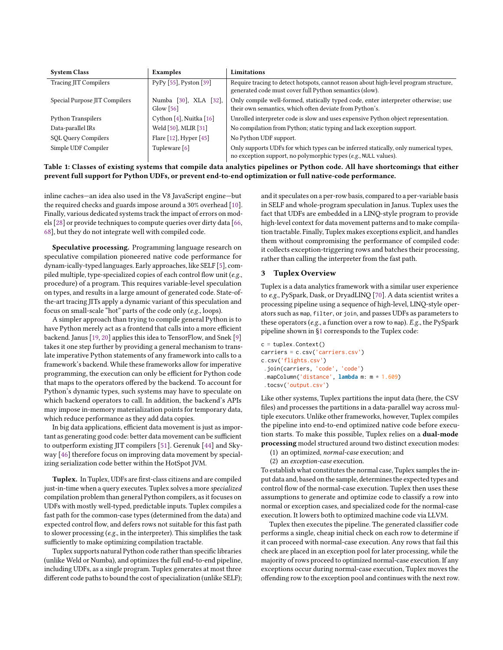<span id="page-2-0"></span>

| <b>System Class</b>           | Examples                                         | Limitations                                                                                                                                             |
|-------------------------------|--------------------------------------------------|---------------------------------------------------------------------------------------------------------------------------------------------------------|
| <b>Tracing JIT Compilers</b>  | PyPy [55], Pyston [39]                           | Require tracing to detect hotspots, cannot reason about high-level program structure,<br>generated code must cover full Python semantics (slow).        |
| Special Purpose JIT Compilers | Numba [30], XLA [32],<br>Glow $\lceil 56 \rceil$ | Only compile well-formed, statically typed code, enter interpreter otherwise; use<br>their own semantics, which often deviate from Python's.            |
| <b>Python Transpilers</b>     | Cython [4], Nuitka [16]                          | Unrolled interpreter code is slow and uses expensive Python object representation.                                                                      |
| Data-parallel IRs             | Weld [50], MLIR [31]                             | No compilation from Python; static typing and lack exception support.                                                                                   |
| <b>SQL Query Compilers</b>    | Flare [12], Hyper [45]                           | No Python UDF support.                                                                                                                                  |
| Simple UDF Compiler           | Tupleware [6]                                    | Only supports UDFs for which types can be inferred statically, only numerical types,<br>no exception support, no polymorphic types (e.g., NULL values). |

Table 1: Classes of existing systems that compile data analytics pipelines or Python code. All have shortcomings that either prevent full support for Python UDFs, or prevent end-to-end optimization or full native-code performance.

inline caches—an idea also used in the V8 JavaScript engine—but the required checks and guards impose around a 30% overhead [\[10\]](#page-12-24). Finally, various dedicated systems track the impact of errors on models [\[28\]](#page-12-25) or provide techniques to compute queries over dirty data [\[66,](#page-13-13) [68\]](#page-13-14), but they do not integrate well with compiled code.

Speculative processing. Programming language research on speculative compilation pioneered native code performance for dynam-ically-typed languages. Early approaches, like SELF [\[5\]](#page-12-26), compiled multiple, type-specialized copies of each control flow unit (e.g., procedure) of a program. This requires variable-level speculation on types, and results in a large amount of generated code. State-ofthe-art tracing JITs apply a dynamic variant of this speculation and focus on small-scale "hot" parts of the code only (e.g., loops).

A simpler approach than trying to compile general Python is to have Python merely act as a frontend that calls into a more efficient backend. Janus [\[19,](#page-12-27) [20\]](#page-12-28) applies this idea to TensorFlow, and Snek [\[9\]](#page-12-29) takes it one step further by providing a general mechanism to translate imperative Python statements of any framework into calls to a framework's backend. While these frameworks allow for imperative programming, the execution can only be efficient for Python code that maps to the operators offered by the backend. To account for Python's dynamic types, such systems may have to speculate on which backend operators to call. In addition, the backend's APIs may impose in-memory materialization points for temporary data, which reduce performance as they add data copies.

In big data applications, efficient data movement is just as important as generating good code: better data movement can be sufficient to outperform existing JIT compilers [\[51\]](#page-13-6). Gerenuk [\[44\]](#page-12-30) and Skyway [\[46\]](#page-12-31) therefore focus on improving data movement by specializing serialization code better within the HotSpot JVM.

Tuplex. In Tuplex, UDFs are first-class citizens and are compiled just-in-time when a query executes. Tuplex solves a more specialized compilation problem than general Python compilers, as it focuses on UDFs with mostly well-typed, predictable inputs. Tuplex compiles a fast path for the common-case types (determined from the data) and expected control flow, and defers rows not suitable for this fast path to slower processing (e.g., in the interpreter). This simplifies the task sufficiently to make optimizing compilation tractable.

Tuplex supports natural Python code rather than specific libraries (unlike Weld or Numba), and optimizes the full end-to-end pipeline, including UDFs, as a single program. Tuplex generates at most three different code paths to bound the cost of specialization (unlike SELF); and it speculates on a per-row basis, compared to a per-variable basis in SELF and whole-program speculation in Janus. Tuplex uses the fact that UDFs are embedded in a LINQ-style program to provide high-level context for data movement patterns and to make compilation tractable. Finally, Tuplex makes exceptions explicit, and handles them without compromising the performance of compiled code: it collects exception-triggering rows and batches their processing, rather than calling the interpreter from the fast path.

# <span id="page-2-1"></span>3 Tuplex Overview

Tuplex is a data analytics framework with a similar user experience to e.g., PySpark, Dask, or DryadLINQ [\[70\]](#page-13-15). A data scientist writes a processing pipeline using a sequence of high-level, LINQ-style operators such as map, filter, or join, and passes UDFs as parameters to these operators (e.g., a function over a row to map). E.g., the PySpark pipeline shown in [§1](#page-0-0) corresponds to the Tuplex code:

```
c = \text{tuples}.Context()carriers = c.csv('carriers.csv')
c.csv('flights.csv')
 .join(carriers, 'code', 'code')
 .mapColumn('distance', lambda m: m * 1.609)
 .tocsv('output.csv')
```
Like other systems, Tuplex partitions the input data (here, the CSV files) and processes the partitions in a data-parallel way across multiple executors. Unlike other frameworks, however, Tuplex compiles the pipeline into end-to-end optimized native code before execution starts. To make this possible, Tuplex relies on a dual-mode processing model structured around two distinct execution modes:

- (1) an optimized, normal-case execution; and
- (2) an exception-case execution.

To establish what constitutes the normal case, Tuplex samples the input data and, based on the sample, determines the expected types and control flow of the normal-case execution. Tuplex then uses these assumptions to generate and optimize code to classify a row into normal or exception cases, and specialized code for the normal-case execution. It lowers both to optimized machine code via LLVM.

Tuplex then executes the pipeline. The generated classifier code performs a single, cheap initial check on each row to determine if it can proceed with normal-case execution. Any rows that fail this check are placed in an exception pool for later processing, while the majority of rows proceed to optimized normal-case execution. If any exceptions occur during normal-case execution, Tuplex moves the offending row to the exception pool and continues with the next row.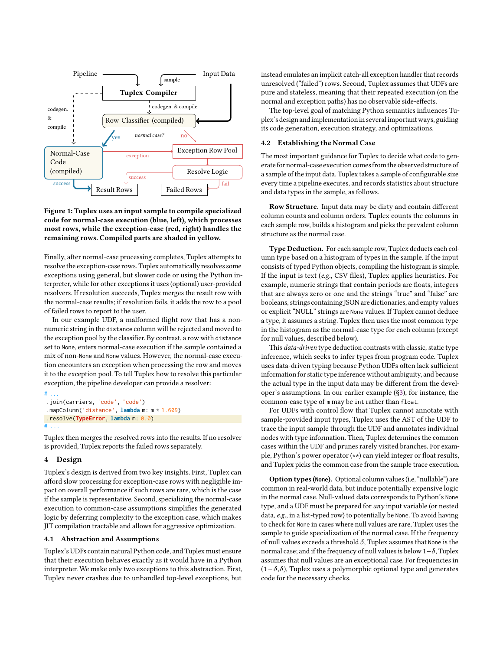

# Figure 1: Tuplex uses an input sample to compile specialized code for normal-case execution (blue, left), which processes most rows, while the exception-case (red, right) handles the remaining rows. Compiled parts are shaded in yellow.

Finally, after normal-case processing completes, Tuplex attempts to resolve the exception-case rows. Tuplex automatically resolves some exceptions using general, but slower code or using the Python interpreter, while for other exceptions it uses (optional) user-provided resolvers. If resolution succeeds, Tuplex merges the result row with the normal-case results; if resolution fails, it adds the row to a pool of failed rows to report to the user.

In our example UDF, a malformed flight row that has a nonnumeric string in the distance column will be rejected and moved to the exception pool by the classifier. By contrast, a row with distance set to None, enters normal-case execution if the sample contained a mix of non-None and None values. However, the normal-case execution encounters an exception when processing the row and moves it to the exception pool. To tell Tuplex how to resolve this particular exception, the pipeline developer can provide a resolver:

```
# ...
.join(carriers, 'code', 'code')
.mapColumn('distance', lambda m: m * 1.609)
.resolve(TypeError, lambda m: 0.0)
# ...
```
Tuplex then merges the resolved rows into the results. If no resolver is provided, Tuplex reports the failed rows separately.

# 4 Design

Tuplex's design is derived from two key insights. First, Tuplex can afford slow processing for exception-case rows with negligible impact on overall performance if such rows are rare, which is the case if the sample is representative. Second, specializing the normal-case execution to common-case assumptions simplifies the generated logic by deferring complexity to the exception case, which makes JIT compilation tractable and allows for aggressive optimization.

#### 4.1 Abstraction and Assumptions

Tuplex's UDFs contain natural Python code, and Tuplex must ensure that their execution behaves exactly as it would have in a Python interpreter. We make only two exceptions to this abstraction. First, Tuplex never crashes due to unhandled top-level exceptions, but

instead emulates an implicit catch-all exception handler that records unresolved ("failed") rows. Second, Tuplex assumes that UDFs are pure and stateless, meaning that their repeated execution (on the normal and exception paths) has no observable side-effects.

The top-level goal of matching Python semantics influences Tuplex's design and implementation in several important ways, guiding its code generation, execution strategy, and optimizations.

## 4.2 Establishing the Normal Case

The most important guidance for Tuplex to decide what code to generate for normal-case execution comes from the observed structure of a sample of the input data. Tuplex takes a sample of configurable size every time a pipeline executes, and records statistics about structure and data types in the sample, as follows.

Row Structure. Input data may be dirty and contain different column counts and column orders. Tuplex counts the columns in each sample row, builds a histogram and picks the prevalent column structure as the normal case.

Type Deduction. For each sample row, Tuplex deducts each column type based on a histogram of types in the sample. If the input consists of typed Python objects, compiling the histogram is simple. If the input is text (e.g., CSV files), Tuplex applies heuristics. For example, numeric strings that contain periods are floats, integers that are always zero or one and the strings "true" and "false" are booleans, strings containing JSON are dictionaries, and empty values or explicit "NULL" strings are None values. If Tuplex cannot deduce a type, it assumes a string. Tuplex then uses the most common type in the histogram as the normal-case type for each column (except for null values, described below).

This *data-driven* type deduction contrasts with classic, static type inference, which seeks to infer types from program code. Tuplex uses data-driven typing because Python UDFs often lack sufficient information for static type inference without ambiguity, and because the actual type in the input data may be different from the developer's assumptions. In our earlier example ([§3\)](#page-2-1), for instance, the common-case type of m may be int rather than float.

For UDFs with control flow that Tuplex cannot annotate with sample-provided input types, Tuplex uses the AST of the UDF to trace the input sample through the UDF and annotates individual nodes with type information. Then, Tuplex determines the common cases within the UDF and prunes rarely visited branches. For example, Python's power operator (\*\*) can yield integer or float results, and Tuplex picks the common case from the sample trace execution.

Option types (**None**). Optional column values (i.e, "nullable") are common in real-world data, but induce potentially expensive logic in the normal case. Null-valued data corresponds to Python's None type, and a UDF must be prepared for any input variable (or nested data, e.g., in a list-typed row) to potentially be None. To avoid having to check for None in cases where null values are rare, Tuplex uses the sample to guide specialization of the normal case. If the frequency of null values exceeds a threshold  $\delta$ , Tuplex assumes that None is the normal case; and if the frequency of null values is below 1−δ, Tuplex assumes that null values are an exceptional case. For frequencies in  $(1-\delta,\delta)$ , Tuplex uses a polymorphic optional type and generates code for the necessary checks.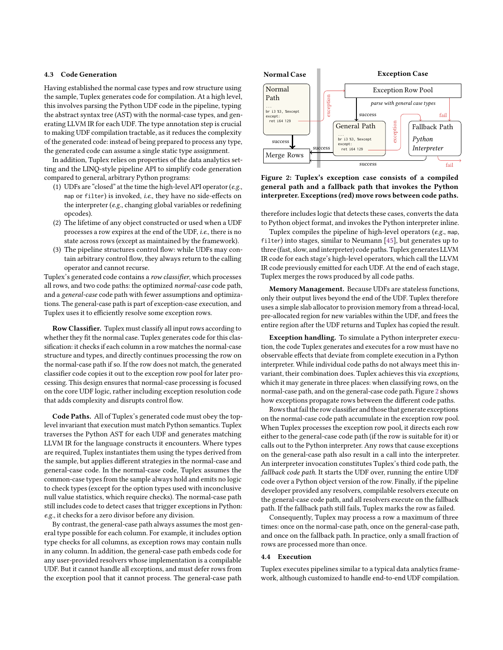## 4.3 Code Generation

Having established the normal case types and row structure using the sample, Tuplex generates code for compilation. At a high level, this involves parsing the Python UDF code in the pipeline, typing the abstract syntax tree (AST) with the normal-case types, and generating LLVM IR for each UDF. The type annotation step is crucial to making UDF compilation tractable, as it reduces the complexity of the generated code: instead of being prepared to process any type, the generated code can assume a single static type assignment.

In addition, Tuplex relies on properties of the data analytics setting and the LINQ-style pipeline API to simplify code generation compared to general, arbitrary Python programs:

- (1) UDFs are "closed" at the time the high-level API operator ( $e.g.,$ map or filter) is invoked, i.e., they have no side-effects on the interpreter (e.g., changing global variables or redefining opcodes).
- (2) The lifetime of any object constructed or used when a UDF processes a row expires at the end of the UDF, i.e., there is no state across rows (except as maintained by the framework).
- (3) The pipeline structures control flow: while UDFs may contain arbitrary control flow, they always return to the calling operator and cannot recurse.

Tuplex's generated code contains a row classifier, which processes all rows, and two code paths: the optimized normal-case code path, and a general-case code path with fewer assumptions and optimizations. The general-case path is part of exception-case execution, and Tuplex uses it to efficiently resolve some exception rows.

Row Classifier. Tuplex must classify all input rows according to whether they fit the normal case. Tuplex generates code for this classification: it checks if each column in a row matches the normal-case structure and types, and directly continues processing the row on the normal-case path if so. If the row does not match, the generated classifier code copies it out to the exception row pool for later processing. This design ensures that normal-case processing is focused on the core UDF logic, rather including exception resolution code that adds complexity and disrupts control flow.

Code Paths. All of Tuplex's generated code must obey the toplevel invariant that execution must match Python semantics. Tuplex traverses the Python AST for each UDF and generates matching LLVM IR for the language constructs it encounters. Where types are required, Tuplex instantiates them using the types derived from the sample, but applies different strategies in the normal-case and general-case code. In the normal-case code, Tuplex assumes the common-case types from the sample always hold and emits no logic to check types (except for the option types used with inconclusive null value statistics, which require checks). The normal-case path still includes code to detect cases that trigger exceptions in Python: e.g., it checks for a zero divisor before any division.

By contrast, the general-case path always assumes the most general type possible for each column. For example, it includes option type checks for all columns, as exception rows may contain nulls in any column. In addition, the general-case path embeds code for any user-provided resolvers whose implementation is a compilable UDF. But it cannot handle all exceptions, and must defer rows from the exception pool that it cannot process. The general-case path

<span id="page-4-0"></span>

Figure 2: Tuplex's exception case consists of a compiled general path and a fallback path that invokes the Python interpreter. Exceptions (red) move rows between code paths.

therefore includes logic that detects these cases, converts the data to Python object format, and invokes the Python interpreter inline.

Tuplex compiles the pipeline of high-level operators (e.g., map, filter) into stages, similar to Neumann [\[45\]](#page-12-23), but generates up to three (fast, slow, and interpreter) code paths. Tuplex generates LLVM IR code for each stage's high-level operators, which call the LLVM IR code previously emitted for each UDF. At the end of each stage, Tuplex merges the rows produced by all code paths.

Memory Management. Because UDFs are stateless functions, only their output lives beyond the end of the UDF. Tuplex therefore uses a simple slab allocator to provision memory from a thread-local, pre-allocated region for new variables within the UDF, and frees the entire region after the UDF returns and Tuplex has copied the result.

Exception handling. To simulate a Python interpreter execution, the code Tuplex generates and executes for a row must have no observable effects that deviate from complete execution in a Python interpreter. While individual code paths do not always meet this invariant, their combination does. Tuplex achieves this via exceptions, which it may generate in three places: when classifying rows, on the normal-case path, and on the general-case code path. Figure [2](#page-4-0) shows how exceptions propagate rows between the different code paths.

Rows that fail the row classifier and those that generate exceptions on the normal-case code path accumulate in the exception row pool. When Tuplex processes the exception row pool, it directs each row either to the general-case code path (if the row is suitable for it) or calls out to the Python interpreter. Any rows that cause exceptions on the general-case path also result in a call into the interpreter. An interpreter invocation constitutes Tuplex's third code path, the fallback code path. It starts the UDF over, running the entire UDF code over a Python object version of the row. Finally, if the pipeline developer provided any resolvers, compilable resolvers execute on the general-case code path, and all resolvers execute on the fallback path. If the fallback path still fails, Tuplex marks the row as failed.

Consequently, Tuplex may process a row a maximum of three times: once on the normal-case path, once on the general-case path, and once on the fallback path. In practice, only a small fraction of rows are processed more than once.

#### 4.4 Execution

Tuplex executes pipelines similar to a typical data analytics framework, although customized to handle end-to-end UDF compilation.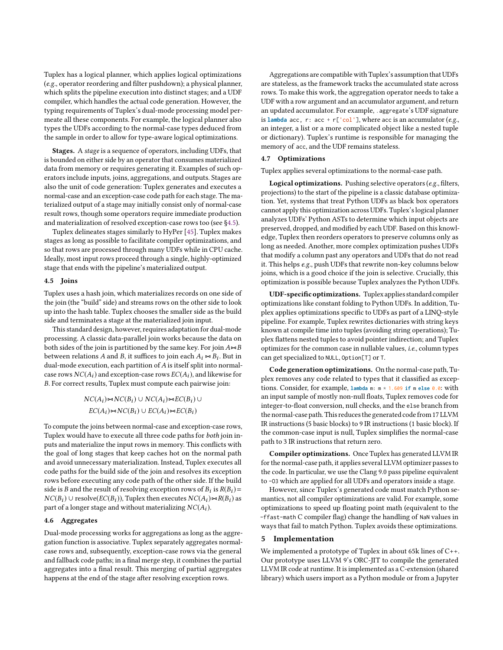Tuplex has a logical planner, which applies logical optimizations (e.g., operator reordering and filter pushdown); a physical planner, which splits the pipeline execution into distinct stages; and a UDF compiler, which handles the actual code generation. However, the typing requirements of Tuplex's dual-mode processing model permeate all these components. For example, the logical planner also types the UDFs according to the normal-case types deduced from the sample in order to allow for type-aware logical optimizations.

Stages. A stage is a sequence of operators, including UDFs, that is bounded on either side by an operator that consumes materialized data from memory or requires generating it. Examples of such operators include inputs, joins, aggregations, and outputs. Stages are also the unit of code generation: Tuplex generates and executes a normal-case and an exception-case code path for each stage. The materialized output of a stage may initially consist only of normal-case result rows, though some operators require immediate production and materialization of resolved exception-case rows too (see [§4.5\)](#page-5-0).

Tuplex delineates stages similarly to HyPer [\[45\]](#page-12-23). Tuplex makes stages as long as possible to facilitate compiler optimizations, and so that rows are processed through many UDFs while in CPU cache. Ideally, most input rows proceed through a single, highly-optimized stage that ends with the pipeline's materialized output.

#### <span id="page-5-0"></span>4.5 Joins

Tuplex uses a hash join, which materializes records on one side of the join (the "build" side) and streams rows on the other side to look up into the hash table. Tuplex chooses the smaller side as the build side and terminates a stage at the materialized join input.

This standard design, however, requires adaptation for dual-mode processing. A classic data-parallel join works because the data on both sides of the join is partitioned by the same key. For join  $A\rightarrow B$ between relations A and B, it suffices to join each  $A_i \Join B_i$ . But in dual-mode execution, each partition of A is itself split into pormal. dual-mode execution, each partition of A is itself split into normalcase rows  $NC(A_i)$  and exception-case rows  $EC(A_i)$ , and likewise for B. For correct results, Tuplex must compute each pairwise join:

$$
NC(A_i) \bowtie NC(B_i) \cup NC(A_i) \bowtie EC(B_i) \cup EC(A_i) \bowtie NC(B_i)
$$

To compute the joins between normal-case and exception-case rows, Tuplex would have to execute all three code paths for both join inputs and materialize the input rows in memory. This conflicts with the goal of long stages that keep caches hot on the normal path and avoid unnecessary materialization. Instead, Tuplex executes all code paths for the build side of the join and resolves its exception rows before executing any code path of the other side. If the build side is B and the result of resolving exception rows of  $B_i$  is  $R(B_i) = N_C(B_i) + N_C(B_i) + N_C(B_i)$  $NC(B_i)$  ∪ resolve( $EC(B_i)$ ), Tuplex then executes  $NC(A_i) \bowtie R(B_i)$  as part of a longer stage and without materializing  $NC(A_i)$ .

#### 4.6 Aggregates

Dual-mode processing works for aggregations as long as the aggregation function is associative. Tuplex separately aggregates normalcase rows and, subsequently, exception-case rows via the general and fallback code paths; in a final merge step, it combines the partial aggregates into a final result. This merging of partial aggregates happens at the end of the stage after resolving exception rows.

Aggregations are compatible with Tuplex's assumption that UDFs are stateless, as the framework tracks the accumulated state across rows. To make this work, the aggregation operator needs to take a UDF with a row argument and an accumulator argument, and return an updated accumulator. For example, .aggregate's UDF signature is **lambda** acc, r:  $\text{acc} + \text{r}$   $\text{col}$  ], where acc is an accumulator (e.g., an integer, a list or a more complicated object like a nested tuple or dictionary). Tuplex's runtime is responsible for managing the memory of acc, and the UDF remains stateless.

# <span id="page-5-1"></span>4.7 Optimizations

Tuplex applies several optimizations to the normal-case path.

Logical optimizations. Pushing selective operators (e.g., filters, projections) to the start of the pipeline is a classic database optimization. Yet, systems that treat Python UDFs as black box operators cannot apply this optimization across UDFs. Tuplex's logical planner analyzes UDFs' Python ASTs to determine which input objects are preserved, dropped, and modified by each UDF. Based on this knowledge, Tuplex then reorders operators to preserve columns only as long as needed. Another, more complex optimization pushes UDFs that modify a column past any operators and UDFs that do not read it. This helps e.g., push UDFs that rewrite non-key columns below joins, which is a good choice if the join is selective. Crucially, this optimization is possible because Tuplex analyzes the Python UDFs.

UDF-specific optimizations. Tuplex applies standard compiler optimizations like constant folding to Python UDFs. In addition, Tuplex applies optimizations specific to UDFs as part of a LINQ-style pipeline. For example, Tuplex rewrites dictionaries with string keys known at compile time into tuples (avoiding string operations); Tuplex flattens nested tuples to avoid pointer indirection; and Tuplex optimizes for the common case in nullable values, i.e., column types can get specialized to NULL, Option[T] or T.

Code generation optimizations. On the normal-case path, Tuplex removes any code related to types that it classified as exceptions. Consider, for example, **lambda** m: m \* 1.609 **if** <sup>m</sup> **else** 0.0: with an input sample of mostly non-null floats, Tuplex removes code for integer-to-float conversion, null checks, and the else branch from the normal-case path. This reduces the generated code from 17 LLVM IR instructions (5 basic blocks) to 9 IR instructions (1 basic block). If the common-case input is null, Tuplex simplifies the normal-case path to 3 IR instructions that return zero.

Compiler optimizations. Once Tuplex has generated LLVM IR for the normal-case path, it applies several LLVM optimizer passes to the code. In particular, we use the Clang 9.0 pass pipeline equivalent to -O3 which are applied for all UDFs and operators inside a stage.

However, since Tuplex's generated code must match Python semantics, not all compiler optimizations are valid. For example, some optimizations to speed up floating point math (equivalent to the -ffast-math C compiler flag) change the handling of NaN values in ways that fail to match Python. Tuplex avoids these optimizations.

#### 5 Implementation

We implemented a prototype of Tuplex in about 65k lines of C++. Our prototype uses LLVM 9's ORC-JIT to compile the generated LLVM IR code at runtime. It is implemented as a C-extension (shared library) which users import as a Python module or from a Jupyter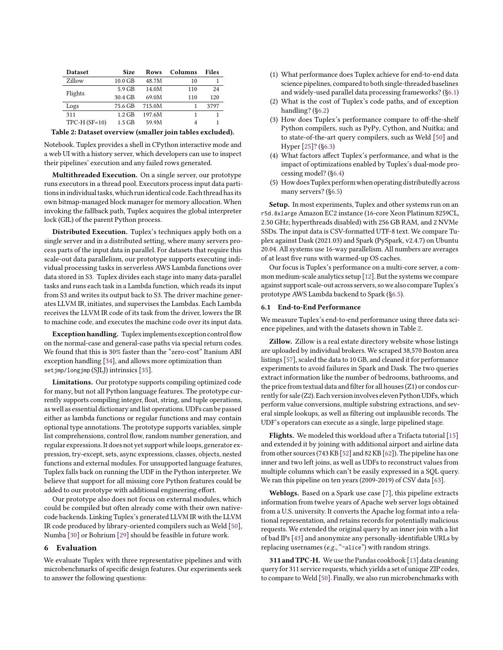<span id="page-6-1"></span>

| <b>Dataset</b> | <b>Size</b> | <b>Rows</b> | Columns | <b>Files</b> |
|----------------|-------------|-------------|---------|--------------|
| Zillow         | $10.0$ GB   | 48.7M       | 10      |              |
| Flights        | $5.9$ GB    | 14.0M       | 110     | 24           |
|                | 30.4 GB     | 69.0M       | 110     | 120          |
| Logs           | 75.6 GB     | 715.0M      |         | 3797         |
| 311            | $1.2$ GB    | 197.6M      |         |              |
| $TPC-H(SF=10)$ | $1.5$ GB    | 59.9M       | 4       |              |
|                |             |             |         |              |

Table 2: Dataset overview (smaller join tables excluded).

Notebook. Tuplex provides a shell in CPython interactive mode and a web UI with a history server, which developers can use to inspect their pipelines' execution and any failed rows generated.

Multithreaded Execution. On a single server, our prototype runs executors in a thread pool. Executors process input data partitions in individual tasks, which run identical code. Each thread has its own bitmap-managed block manager for memory allocation. When invoking the fallback path, Tuplex acquires the global interpreter lock (GIL) of the parent Python process.

Distributed Execution. Tuplex's techniques apply both on a single server and in a distributed setting, where many servers process parts of the input data in parallel. For datasets that require this scale-out data parallelism, our prototype supports executing individual processing tasks in serverless AWS Lambda functions over data stored in S3. Tuplex divides each stage into many data-parallel tasks and runs each task in a Lambda function, which reads its input from S3 and writes its output back to S3. The driver machine generates LLVM IR, initiates, and supervises the Lambdas. Each Lambda receives the LLVM IR code of its task from the driver, lowers the IR to machine code, and executes the machine code over its input data.

Exception handling. Tuplex implements exception control flow on the normal-case and general-case paths via special return codes. We found that this is 30% faster than the "zero-cost" Itanium ABI exception handling [\[34\]](#page-12-32), and allows more optimization than setjmp/longjmp (SJLJ) intrinsics [\[35\]](#page-12-33).

Limitations. Our prototype supports compiling optimized code for many, but not all Python language features. The prototype currently supports compiling integer, float, string, and tuple operations, as well as essential dictionary and list operations. UDFs can be passed either as lambda functions or regular functions and may contain optional type annotations. The prototype supports variables, simple list comprehensions, control flow, random number generation, and regular expressions.It does not yet support while loops, generator expression, try-except, sets, async expressions, classes, objects, nested functions and external modules. For unsupported language features, Tuplex falls back on running the UDF in the Python interpreter. We believe that support for all missing core Python features could be added to our prototype with additional engineering effort.

Our prototype also does not focus on external modules, which could be compiled but often already come with their own nativecode backends. Linking Tuplex's generated LLVM IR with the LLVM IR code produced by library-oriented compilers such as Weld [\[50\]](#page-13-3), Numba [\[30\]](#page-12-3) or Bohrium [\[29\]](#page-12-34) should be feasible in future work.

### 6 Evaluation

We evaluate Tuplex with three representative pipelines and with microbenchmarks of specific design features. Our experiments seek to answer the following questions:

- (1) What performance does Tuplex achieve for end-to-end data science pipelines, compared to both single-threaded baselines and widely-used parallel data processing frameworks? ([§6.1\)](#page-6-0)
- (2) What is the cost of Tuplex's code paths, and of exception handling? ([§6.2\)](#page-8-1)
- (3) How does Tuplex's performance compare to off-the-shelf Python compilers, such as PyPy, Cython, and Nuitka; and to state-of-the-art query compilers, such as Weld [\[50\]](#page-13-3) and Hyper [\[25\]](#page-12-1)? ([§6.3\)](#page-8-0)
- (4) What factors affect Tuplex's performance, and what is the impact of optimizations enabled by Tuplex's dual-mode processing model? ([§6.4\)](#page-10-0)
- (5) How doesTuplex performwhen operating distributedly across many servers? ([§6.5\)](#page-11-0)

Setup. In most experiments, Tuplex and other systems run on an r5d.8xlarge Amazon EC2 instance (16-core Xeon Platinum 8259CL, 2.50 GHz; hyperthreads disabled) with 256 GB RAM, and 2 NVMe SSDs. The input data is CSV-formatted UTF-8 text. We compare Tuplex against Dask (2021.03) and Spark (PySpark, v2.4.7) on Ubuntu 20.04. All systems use 16-way parallelism. All numbers are averages of at least five runs with warmed-up OS caches.

Our focus is Tuplex's performance on a multi-core server, a common medium-scale analytics setup [\[12\]](#page-12-14). But the systems we compare against support scale-out across servers, so we also compare Tuplex's prototype AWS Lambda backend to Spark ([§6.5\)](#page-11-0).

#### <span id="page-6-0"></span>6.1 End-to-End Performance

We measure Tuplex's end-to-end performance using three data science pipelines, and with the datasets shown in Table [2.](#page-6-1)

Zillow. Zillow is a real estate directory website whose listings are uploaded by individual brokers. We scraped 38,570 Boston area listings [\[57\]](#page-13-16), scaled the data to 10 GB, and cleaned it for performance experiments to avoid failures in Spark and Dask. The two queries extract information like the number of bedrooms, bathrooms, and the price from textual data and filter for all houses (Z1) or condos currently for sale (Z2). Each version involves eleven Python UDFs, which perform value conversions, multiple substring extractions, and several simple lookups, as well as filtering out implausible records. The UDF's operators can execute as a single, large pipelined stage.

Flights. We modeled this workload after a Trifacta tutorial [\[15\]](#page-12-35) and extended it by joining with additional airport and airline data from other sources (743 KB [\[52\]](#page-13-17) and 82 KB [\[62\]](#page-13-18)). The pipeline has one inner and two left joins, as well as UDFs to reconstruct values from multiple columns which can't be easily expressed in a SQL query. We ran this pipeline on ten years (2009-2019) of CSV data [\[63\]](#page-13-2).

Weblogs. Based on a Spark use case [\[7\]](#page-12-36), this pipeline extracts information from twelve years of Apache web server logs obtained from a U.S. university. It converts the Apache log format into a relational representation, and retains records for potentially malicious requests. We extended the original query by an inner join with a list of bad IPs [\[43\]](#page-12-37) and anonymize any personally-identifiable URLs by replacing usernames (e.g., "~alice") with random strings.

311 and TPC-H. We use the Pandas cookbook [\[13\]](#page-12-38) data cleaning query for 311 service requests, which yields a set of unique ZIP codes, to compare to Weld [\[50\]](#page-13-3). Finally, we also run microbenchmarks with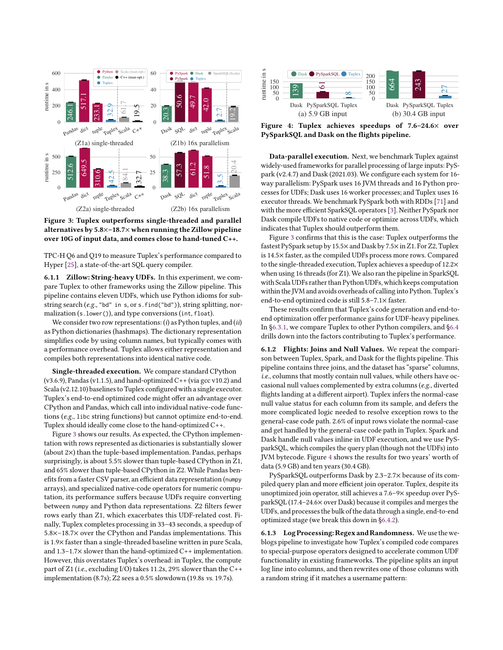<span id="page-7-0"></span>

Figure 3: Tuplex outperforms single-threaded and parallel alternatives by 5.8×–18.7× when running the Zillow pipeline over 10G of input data, and comes close to hand-tuned C++.

TPC-H Q6 and Q19 to measure Tuplex's performance compared to Hyper [\[25\]](#page-12-1), a state-of-the-art SQL query compiler.

6.1.1 Zillow: String-heavy UDFs. In this experiment, we compare Tuplex to other frameworks using the Zillow pipeline. This pipeline contains eleven UDFs, which use Python idioms for substring search (e.g., "bd" in s, or s. find("bd")), string splitting, normalization (s.lower()), and type conversions (int, float).

We consider two row representations:  $(i)$  as Python tuples, and  $(ii)$ as Python dictionaries (hashmaps). The dictionary representation simplifies code by using column names, but typically comes with a performance overhead. Tuplex allows either representation and compiles both representations into identical native code.

Single-threaded execution. We compare standard CPython  $(v3.6.9)$ , Pandas  $(v1.1.5)$ , and hand-optimized  $C++$   $(via$  gcc  $v10.2)$  and Scala (v2.12.10) baselines to Tuplex configured with a single executor. Tuplex's end-to-end optimized code might offer an advantage over CPython and Pandas, which call into individual native-code functions (e.g., libc string functions) but cannot optimize end-to-end. Tuplex should ideally come close to the hand-optimized C++.

Figure [3](#page-7-0) shows our results. As expected, the CPython implementation with rows represented as dictionaries is substantially slower (about 2×) than the tuple-based implementation. Pandas, perhaps surprisingly, is about 5.5% slower than tuple-based CPython in Z1, and 65% slower than tuple-based CPython in Z2. While Pandas benefits from a faster CSV parser, an efficient data representation (numpy arrays), and specialized native-code operators for numeric computation, its performance suffers because UDFs require converting between numpy and Python data representations. Z2 filters fewer rows early than Z1, which exacerbates this UDF-related cost. Finally, Tuplex completes processing in 33–43 seconds, a speedup of 5.8×–18.7× over the CPython and Pandas implementations. This is 1.9× faster than a single-threaded baseline written in pure Scala, and 1.3–1.7× slower than the hand-optimized C++ implementation. However, this overstates Tuplex's overhead: in Tuplex, the compute part of Z1 (i.e., excluding I/O) takes 11.2s, 29% slower than the C++ implementation (8.7s); Z2 sees a 0.5% slowdown (19.8s vs. 19.7s).

<span id="page-7-1"></span>

Figure 4: Tuplex achieves speedups of 7.6–24.6× over PySparkSQL and Dask on the flights pipeline.

Data-parallel execution. Next, we benchmark Tuplex against widely-used frameworks for parallel processing of large inputs: PySpark (v2.4.7) and Dask (2021.03). We configure each system for 16 way parallelism: PySpark uses 16 JVM threads and 16 Python processes for UDFs; Dask uses 16 worker processes; and Tuplex uses 16 executor threads. We benchmark PySpark both with RDDs [\[71\]](#page-13-1) and with the more efficient SparkSQL operators [\[3\]](#page-12-39). Neither PySpark nor Dask compile UDFs to native code or optimize across UDFs, which indicates that Tuplex should outperform them.

Figure [3](#page-7-0) confirms that this is the case: Tuplex outperforms the fastest PySpark setup by 15.5×and Dask by 7.5×in Z1. For Z2, Tuplex is 14.5× faster, as the compiled UDFs process more rows. Compared to the single-threaded execution, Tuplex achieves a speedup of 12.2× when using 16 threads (for Z1). We also ran the pipeline in SparkSQL with Scala UDFs rather than Python UDFs, which keeps computation within the JVM and avoids overheads of calling into Python. Tuplex's end-to-end optimized code is still 5.8–7.1× faster.

These results confirm that Tuplex's code generation and end-toend optimization offer performance gains for UDF-heavy pipelines. In [§6.3.1,](#page-8-2) we compare Tuplex to other Python compilers, and [§6.4](#page-10-0) drills down into the factors contributing to Tuplex's performance.

6.1.2 Flights: Joins and Null Values. We repeat the comparison between Tuplex, Spark, and Dask for the flights pipeline. This pipeline contains three joins, and the dataset has "sparse" columns, i.e., columns that mostly contain null values, while others have occasional null values complemented by extra columns (e.g., diverted flights landing at a different airport). Tuplex infers the normal-case null value status for each column from its sample, and defers the more complicated logic needed to resolve exception rows to the general-case code path. 2.6% of input rows violate the normal-case and get handled by the general-case code path in Tuplex. Spark and Dask handle null values inline in UDF execution, and we use PySparkSQL, which compiles the query plan (though not the UDFs) into JVM bytecode. Figure [4](#page-7-1) shows the results for two years' worth of data (5.9 GB) and ten years (30.4 GB).

PySparkSQL outperforms Dask by 2.3–2.7× because of its compiled query plan and more efficient join operator. Tuplex, despite its unoptimized join operator, still achieves a 7.6–9× speedup over PySparkSQL (17.4–24.6× over Dask) because it compiles and merges the UDFs, and processes the bulk of the data through a single, end-to-end optimized stage (we break this down in [§6.4.2\)](#page-10-1).

6.1.3 Log Processing: Regex and Randomness. We use the weblogs pipeline to investigate how Tuplex's compiled code compares to special-purpose operators designed to accelerate common UDF functionality in existing frameworks. The pipeline splits an input log line into columns, and then rewrites one of those columns with a random string if it matches a username pattern: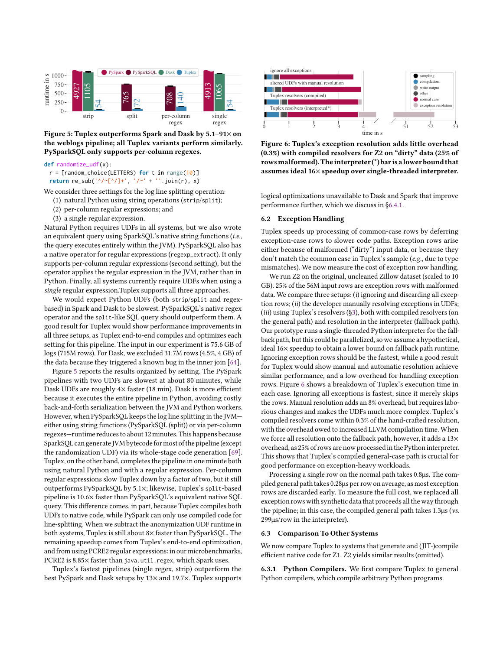<span id="page-8-3"></span>

Figure 5: Tuplex outperforms Spark and Dask by 5.1–91× on the weblogs pipeline; all Tuplex variants perform similarly. PySparkSQL only supports per-column regexes.

**def** randomize\_udf(x):

r = [random\_choice(LETTERS) **for** t **in** range(10)] **return** re\_sub(' $\sqrt{(a^2 + b^2)^2}$ , '/~' + ''.join(r), x)

We consider three settings for the log line splitting operation:

(1) natural Python using string operations (strip/split);

- (2) per-column regular expressions; and
- (3) a single regular expression.

Natural Python requires UDFs in all systems, but we also wrote an equivalent query using SparkSQL's native string functions (i.e., the query executes entirely within the JVM). PySparkSQL also has a native operator for regular expressions (regexp\_extract). It only supports per-column regular expressions (second setting), but the operator applies the regular expression in the JVM, rather than in Python. Finally, all systems currently require UDFs when using a single regular expression.Tuplex supports all three approaches.

We would expect Python UDFs (both strip/split and regexbased) in Spark and Dask to be slowest. PySparkSQL's native regex operator and the split-like SQL query should outperform them. A good result for Tuplex would show performance improvements in all three setups, as Tuplex end-to-end compiles and optimizes each setting for this pipeline. The input in our experiment is 75.6 GB of logs (715M rows). For Dask, we excluded 31.7M rows (4.5%, 4 GB) of the data because they triggered a known bug in the inner join [\[64\]](#page-13-19).

Figure [5](#page-8-3) reports the results organized by setting. The PySpark pipelines with two UDFs are slowest at about 80 minutes, while Dask UDFs are roughly 4× faster (18 min). Dask is more efficient because it executes the entire pipeline in Python, avoiding costly back-and-forth serialization between the JVM and Python workers. However, when PySparkSQL keeps the log line splitting in the JVM either using string functions (PySparkSQL (split)) or via per-column regexes—runtime reduces to about 12 minutes. This happens because SparkSQL can generate JVM bytecode for most of the pipeline(except the randomization UDF) via its whole-stage code generation [\[69\]](#page-13-20). Tuplex, on the other hand, completes the pipeline in one minute both using natural Python and with a regular expression. Per-column regular expressions slow Tuplex down by a factor of two, but it still outperforms PySparkSQL by 5.1×; likewise, Tuplex's split-based pipeline is 10.6× faster than PySparkSQL's equivalent native SQL query. This difference comes, in part, because Tuplex compiles both UDFs to native code, while PySpark can only use compiled code for line-splitting. When we subtract the anonymization UDF runtime in both systems, Tuplex is still about 8× faster than PySparkSQL. The remaining speedup comes from Tuplex's end-to-end optimization, and from using PCRE2 regular expressions: in our microbenchmarks, PCRE2 is 8.85× faster than java.util.regex, which Spark uses.

Tuplex's fastest pipelines (single regex, strip) outperform the best PySpark and Dask setups by 13× and 19.7×. Tuplex supports

<span id="page-8-4"></span>

Figure 6: Tuplex's exception resolution adds little overhead (0.3%) with compiled resolvers for Z2 on "dirty" data (25% of rowsmalformed).The interpreter (\*) bar is a lower bound that assumes ideal 16× speedup over single-threaded interpreter.

logical optimizations unavailable to Dask and Spark that improve performance further, which we discuss in [§6.4.1.](#page-10-2)

#### <span id="page-8-1"></span>6.2 Exception Handling

Tuplex speeds up processing of common-case rows by deferring exception-case rows to slower code paths. Exception rows arise either because of malformed ("dirty") input data, or because they don't match the common case in Tuplex's sample (e.g., due to type mismatches). We now measure the cost of exception row handling.

We run Z2 on the original, uncleaned Zillow dataset (scaled to 10 GB). 25% of the 56M input rows are exception rows with malformed data. We compare three setups:  $(i)$  ignoring and discarding all exception rows; (ii) the developer manually resolving exceptions in UDFs; (iii) using Tuplex's resolvers ([§3\)](#page-2-1), both with compiled resolvers (on the general path) and resolution in the interpreter (fallback path). Our prototype runs a single-threaded Python interpreter for the fallback path, but this could be parallelized, so we assume a hypothetical, ideal 16× speedup to obtain a lower bound on fallback path runtime. Ignoring exception rows should be the fastest, while a good result for Tuplex would show manual and automatic resolution achieve similar performance, and a low overhead for handling exception rows. Figure [6](#page-8-4) shows a breakdown of Tuplex's execution time in each case. Ignoring all exceptions is fastest, since it merely skips the rows. Manual resolution adds an 8% overhead, but requires laborious changes and makes the UDFs much more complex. Tuplex's compiled resolvers come within 0.3% of the hand-crafted resolution, with the overhead owed to increased LLVM compilation time. When we force all resolution onto the fallback path, however, it adds a 13× overhead, as 25% of rows are now processed in the Python interpreter. This shows that Tuplex's compiled general-case path is crucial for good performance on exception-heavy workloads.

Processing a single row on the normal path takes 0.8µs. The compiled general path takes 0.28µs per row on average, as most exception rows are discarded early. To measure the full cost, we replaced all exception rows with synthetic data that proceeds all the way through the pipeline; in this case, the compiled general path takes 1.3µs (vs. 299µs/row in the interpreter).

# <span id="page-8-0"></span>6.3 Comparison To Other Systems

We now compare Tuplex to systems that generate and (JIT-)compile efficient native code for Z1. Z2 yields similar results (omitted).

<span id="page-8-2"></span>6.3.1 Python Compilers. We first compare Tuplex to general Python compilers, which compile arbitrary Python programs.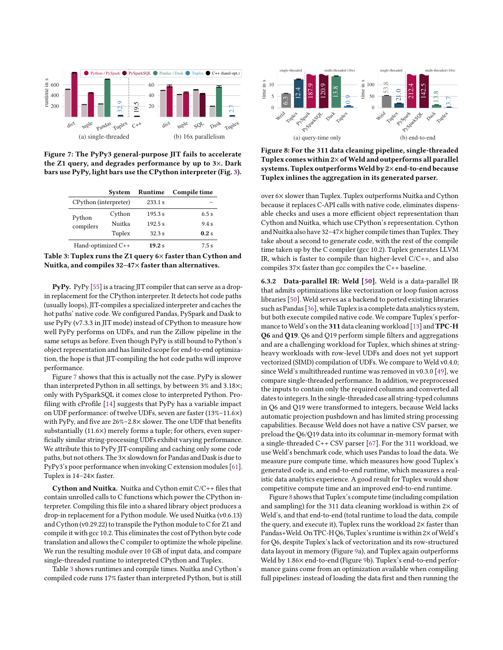<span id="page-9-0"></span>

Figure 7: The PyPy3 general-purpose JIT fails to accelerate the Z1 query, and degrades performance by up to 3×. Dark bars use PyPy, light bars use the CPython interpreter (Fig. [3\)](#page-7-0).

<span id="page-9-1"></span>

|                       | System | Runtime | Compile time |
|-----------------------|--------|---------|--------------|
| CPython (interpreter) |        | 233.1 s |              |
| Python<br>compilers   | Cython | 195.3 s | 6.5s         |
|                       | Nuitka | 192.5 s | 94s          |
|                       | Tuplex | 32.3s   | 0.2s         |
| Hand-optimized C++    |        | 19.2 s  | 7.5s         |



PyPy. PyPy [\[55\]](#page-13-4) is a tracing JIT compiler that can serve as a dropin replacement for the CPython interpreter. It detects hot code paths (usually loops), JIT-compiles a specialized interpreter and caches the hot paths' native code. We configured Pandas, PySpark and Dask to use PyPy (v7.3.3 in JIT mode) instead of CPython to measure how well PyPy performs on UDFs, and run the Zillow pipeline in the same setups as before. Even though PyPy is still bound to Python's object representation and has limited scope for end-to-end optimization, the hope is that JIT-compiling the hot code paths will improve performance.

Figure [7](#page-9-0) shows that this is actually not the case. PyPy is slower than interpreted Python in all settings, by between 3% and 3.18×; only with PySparkSQL it comes close to interpreted Python. Profiling with cProfile [\[14\]](#page-12-40) suggests that PyPy has a variable impact on UDF performance: of twelve UDFs, seven are faster (13%–11.6×) with PyPy, and five are 26%–2.8× slower. The one UDF that benefits substantially (11.6×) merely forms a tuple; for others, even superficially similar string-processing UDFs exhibit varying performance. We attribute this to PyPy JIT-compiling and caching only some code paths, but not others. The 3×slowdown for Pandas and Dask is due to PyPy3's poor performance when invoking C extension modules [\[61\]](#page-13-21). Tuplex is 14–24× faster. **Example and the state of the state of the state of the state of the state of the state of the state of the state of the state of the state of the state of the state of the state of the state of the state of the state of** 

Cython and Nuitka. Nuitka and Cython emit C/C++ files that contain unrolled calls to C functions which power the CPython interpreter. Compiling this file into a shared library object produces a drop-in replacement for a Python module. We used Nuitka (v0.6.13) and Cython (v0.29.22) to transpile the Python module to C for Z1 and compile it with gcc 10.2. This eliminates the cost of Python byte code translation and allows the C compiler to optimize the whole pipeline. We run the resulting module over 10 GB of input data, and compare single-threaded runtime to interpreted CPython and Tuplex.

Table [3](#page-9-1) shows runtimes and compile times. Nuitka and Cython's

<span id="page-9-2"></span>

Figure 8: For the 311 data cleaning pipeline, single-threaded Tuplex comes within  $2\times$  of Weld and outperforms all parallel systems. Tuplex outperforms Weld by 2×end-to-end because Tuplex inlines the aggregation in its generated parser.

over 6× slower than Tuplex. Tuplex outperforms Nuitka and Cython because it replaces C-API calls with native code, eliminates dispensable checks and uses a more efficient object representation than Cython and Nuitka, which use CPython's representation. Cython and Nuitka also have  $32-47\times$  higher compile times than Tuplex. They take about a second to generate code, with the rest of the compile time taken up by the C compiler (gcc 10.2). Tuplex generates LLVM IR, which is faster to compile than higher-level C/C++, and also compiles 37× faster than gcc compiles the C++ baseline.

<span id="page-9-3"></span>6.3.2 Data-parallel IR: Weld [\[50\]](#page-13-3). Weld is a data-parallel IR that admits optimizations like vectorization or loop fusion across libraries [\[50\]](#page-13-3). Weld serves as a backend to ported existing libraries such as Pandas [\[36\]](#page-12-41), while Tuplex is a complete data analytics system, but both execute compiled native code. We compare Tuplex's perfor-mance to Weld's on the 311 data cleaning workload [\[13\]](#page-12-38) and **TPC-H** Q6 and Q19. Q6 and Q19 perform simple filters and aggregations and are a challenging workload for Tuplex, which shines at stringheavy workloads with row-level UDFs and does not yet support vectorized (SIMD) compilation of UDFs. We compare to Weld v0.4.0; since Weld's multithreaded runtime was removed in v0.3.0 [\[49\]](#page-13-22), we compare single-threaded performance. In addition, we preprocessed the inputs to contain only the required columns and converted all dates to integers.In the single-threaded case all string-typed columns in Q6 and Q19 were transformed to integers, because Weld lacks automatic projection pushdown and has limited string processing capabilities. Because Weld does not have a native CSV parser, we preload the Q6/Q19 data into its columnar in-memory format with a single-threaded C++ CSV parser [\[67\]](#page-13-23). For the 311 workload, we use Weld's benchmark code, which uses Pandas to load the data. We measure pure compute time, which measures how good Tuplex's generated code is, and end-to-end runtime, which measures a realistic data analytics experience. A good result for Tuplex would show competitive compute time and an improved end-to-end runtime.

Figure [8](#page-9-2) shows that Tuplex's compute time(including compilation and sampling) for the 311 data cleaning workload is within  $2\times$  of Weld's, and that end-to-end (total runtime to load the data, compile the query, and execute it), Tuplex runs the workload 2× faster than Pandas+Weld. On TPC-H Q6, Tuplex's runtime is within 2× of Weld's for Q6, despite Tuplex's lack of vectorization and its row-structured data layout in memory (Figure [9a](#page-10-3)), and Tuplex again outperforms Weld by 1.86× end-to-end (Figure [9b](#page-10-3)). Tuplex's end-to-end performance gains come from an optimization available when compiling full pipelines: instead of loading the data first and then running the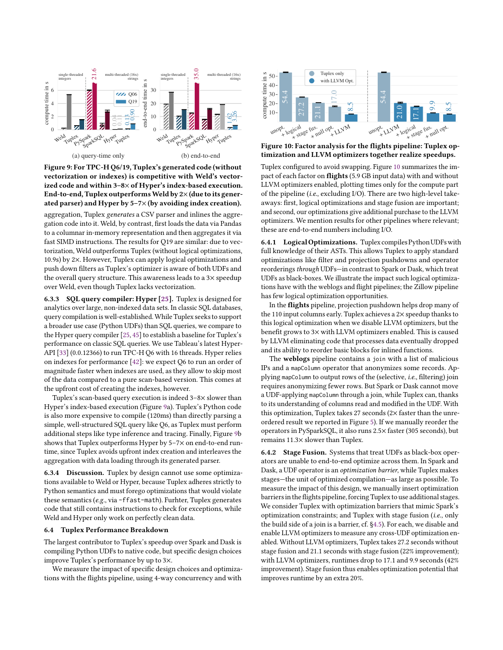<span id="page-10-3"></span>

Figure 9: For TPC-H Q6/19, Tuplex's generated code (without vectorization or indexes) is competitive with Weld's vectorized code and within 3–8× of Hyper's index-based execution. End-to-end, Tuplex outperforms Weld by  $2\times$  (due to its generated parser) and Hyper by 5–7× (by avoiding index creation).

aggregation, Tuplex generates a CSV parser and inlines the aggregation code into it. Weld, by contrast, first loads the data via Pandas to a columnar in-memory representation and then aggregates it via fast SIMD instructions. The results for Q19 are similar: due to vectorization, Weld outperforms Tuplex (without logical optimizations, 10.9s) by 2×. However, Tuplex can apply logical optimizations and push down filters as Tuplex's optimizer is aware of both UDFs and the overall query structure. This awareness leads to a 3× speedup over Weld, even though Tuplex lacks vectorization.

6.3.3 SQL query compiler: Hyper [\[25\]](#page-12-1). Tuplex is designed for analytics over large, non-indexed data sets. In classic SQL databases, query compilation is well-established.While Tuplex seeks to support a broader use case (Python UDFs) than SQL queries, we compare to the Hyper query compiler [\[25,](#page-12-1) [45\]](#page-12-23) to establish a baseline for Tuplex's performance on classic SQL queries. We use Tableau's latest Hyper-API [\[33\]](#page-12-42) (0.0.12366) to run TPC-H Q6 with 16 threads. Hyper relies on indexes for performance [\[42\]](#page-12-43): we expect Q6 to run an order of magnitude faster when indexes are used, as they allow to skip most of the data compared to a pure scan-based version. This comes at the upfront cost of creating the indexes, however.

Tuplex's scan-based query execution is indeed 3–8× slower than Hyper's index-based execution (Figure [9a](#page-10-3)). Tuplex's Python code is also more expensive to compile (120ms) than directly parsing a simple, well-structured SQL query like Q6, as Tuplex must perform additional steps like type inference and tracing. Finally, Figure [9b](#page-10-3) shows that Tuplex outperforms Hyper by 5–7× on end-to-end runtime, since Tuplex avoids upfront index creation and interleaves the aggregation with data loading through its generated parser.

6.3.4 Discussion. Tuplex by design cannot use some optimizations available to Weld or Hyper, because Tuplex adheres strictly to Python semantics and must forego optimizations that would violate these semantics (e.g., via -ffast-math). Furhter, Tuplex generates code that still contains instructions to check for exceptions, while Weld and Hyper only work on perfectly clean data.

## <span id="page-10-0"></span>6.4 Tuplex Performance Breakdown

The largest contributor to Tuplex's speedup over Spark and Dask is compiling Python UDFs to native code, but specific design choices improve Tuplex's performance by up to 3×.

We measure the impact of specific design choices and optimizations with the flights pipeline, using 4-way concurrency and with

<span id="page-10-4"></span>

Figure 10: Factor analysis for the flights pipeline: Tuplex optimization and LLVM optimizers together realize speedups.

Tuplex configured to avoid swapping. Figure [10](#page-10-4) summarizes the impact of each factor on flights (5.9 GB input data) with and without LLVM optimizers enabled, plotting times only for the compute part of the pipeline (i.e., excluding I/O). There are two high-level takeaways: first, logical optimizations and stage fusion are important; and second, our optimizations give additional purchase to the LLVM optimizers. We mention results for other pipelines where relevant; these are end-to-end numbers including I/O.

<span id="page-10-2"></span>6.4.1 Logical Optimizations. Tuplex compiles Python UDFs with full knowledge of their ASTs. This allows Tuplex to apply standard optimizations like filter and projection pushdowns and operator reorderings through UDFs-in contrast to Spark or Dask, which treat UDFs as black-boxes. We illustrate the impact such logical optimizations have with the weblogs and flight pipelines; the Zillow pipeline has few logical optimization opportunities.

In the flights pipeline, projection pushdown helps drop many of the 110 input columns early. Tuplex achieves a 2× speedup thanks to this logical optimization when we disable LLVM optimizers, but the benefit grows to 3× with LLVM optimizers enabled. This is caused by LLVM eliminating code that processes data eventually dropped and its ability to reorder basic blocks for inlined functions.

The weblogs pipeline contains a join with a list of malicious IPs and a mapColumn operator that anonymizes some records. Applying mapColumn to output rows of the (selective, i.e., filtering) join requires anonymizing fewer rows. But Spark or Dask cannot move a UDF-applying mapColumn through a join, while Tuplex can, thanks to its understanding of columns read and modified in the UDF. With this optimization, Tuplex takes 27 seconds  $(2\times$  faster than the unreordered result we reported in Figure [5\)](#page-8-3). If we manually reorder the operators in PySparkSQL, it also runs 2.5× faster (305 seconds), but remains 11.3× slower than Tuplex.

<span id="page-10-1"></span>6.4.2 Stage Fusion. Systems that treat UDFs as black-box operators are unable to end-to-end optimize across them. In Spark and Dask, a UDF operator is an optimization barrier, while Tuplex makes stages—the unit of optimized compilation—as large as possible. To measure the impact of this design, we manually insert optimization barriers in the flights pipeline, forcing Tuplex to use additional stages. We consider Tuplex with optimization barriers that mimic Spark's optimization constraints; and Tuplex with stage fusion (i.e., only the build side of a join is a barrier, cf. [§4.5\)](#page-5-0). For each, we disable and enable LLVM optimizers to measure any cross-UDF optimization enabled. Without LLVM optimizers, Tuplex takes 27.2 seconds without stage fusion and 21.1 seconds with stage fusion (22% improvement); with LLVM optimizers, runtimes drop to 17.1 and 9.9 seconds (42% improvement). Stage fusion thus enables optimization potential that improves runtime by an extra 20%.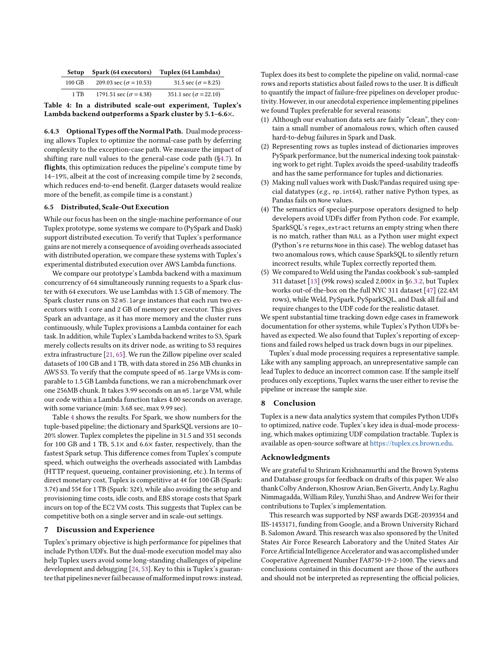<span id="page-11-2"></span>

| Setup  | Spark (64 executors)           | Tuplex (64 Lambdas)           |
|--------|--------------------------------|-------------------------------|
| 100 GB | 209.03 sec ( $\sigma$ = 10.53) | 31.5 sec ( $\sigma$ = 8.25)   |
| 1 TB   | 1791.51 sec ( $\sigma$ = 4.38) | 351.1 sec ( $\sigma$ = 22.10) |
|        |                                |                               |

Table 4: In a distributed scale-out experiment, Tuplex's Lambda backend outperforms a Spark cluster by 5.1–6.6×.

6.4.3 Optional Types off the Normal Path. Dual mode processing allows Tuplex to optimize the normal-case path by deferring complexity to the exception-case path. We measure the impact of shifting rare null values to the general-case code path ([§4.7\)](#page-5-1). In flights, this optimization reduces the pipeline's compute time by 14–19%, albeit at the cost of increasing compile time by 2 seconds, which reduces end-to-end benefit. (Larger datasets would realize more of the benefit, as compile time is a constant.)

# <span id="page-11-0"></span>6.5 Distributed, Scale-Out Execution

While our focus has been on the single-machine performance of our Tuplex prototype, some systems we compare to (PySpark and Dask) support distributed execution. To verify that Tuplex's performance gains are not merely a consequence of avoiding overheads associated with distributed operation, we compare these systems with Tuplex's experimental distributed execution over AWS Lambda functions.

We compare our prototype's Lambda backend with a maximum concurrency of 64 simultaneously running requests to a Spark cluster with 64 executors. We use Lambdas with 1.5 GB of memory. The Spark cluster runs on 32 m5.large instances that each run two executors with 1 core and 2 GB of memory per executor. This gives Spark an advantage, as it has more memory and the cluster runs continuously, while Tuplex provisions a Lambda container for each task. In addition, while Tuplex's Lambda backend writes to S3, Spark merely collects results on its driver node, as writing to S3 requires extra infrastructure [\[21,](#page-12-44) [65\]](#page-13-24). We run the Zillow pipeline over scaled datasets of 100 GB and 1 TB, with data stored in 256 MB chunks in AWS S3. To verify that the compute speed of m5.large VMs is comparable to 1.5 GB Lambda functions, we ran a microbenchmark over one 256MB chunk. It takes 3.99 seconds on an m5.large VM, while our code within a Lambda function takes 4.00 seconds on average, with some variance (min: 3.68 sec, max 9.99 sec).

Table [4](#page-11-2) shows the results. For Spark, we show numbers for the tuple-based pipeline; the dictionary and SparkSQL versions are 10– 20% slower. Tuplex completes the pipeline in 31.5 and 351 seconds for 100 GB and 1 TB, 5.1× and 6.6× faster, respectively, than the fastest Spark setup. This difference comes from Tuplex's compute speed, which outweighs the overheads associated with Lambdas (HTTP request, queueing, container provisioning, etc.). In terms of direct monetary cost, Tuplex is competitive at 4¢ for 100 GB (Spark: 3.7¢) and 55¢ for 1 TB (Spark: 32¢), while also avoiding the setup and provisioning time costs, idle costs, and EBS storage costs that Spark incurs on top of the EC2 VM costs. This suggests that Tuplex can be competitive both on a single server and in scale-out settings.

## <span id="page-11-1"></span>7 Discussion and Experience

Tuplex's primary objective is high performance for pipelines that include Python UDFs. But the dual-mode execution model may also help Tuplex users avoid some long-standing challenges of pipeline development and debugging [\[24,](#page-12-45) [53\]](#page-13-25). Key to this is Tuplex's guarantee that pipelines never fail because of malformed input rows: instead, Tuplex does its best to complete the pipeline on valid, normal-case rows and reports statistics about failed rows to the user. It is difficult to quantify the impact of failure-free pipelines on developer productivity. However, in our anecdotal experience implementing pipelines we found Tuplex preferable for several reasons:

- (1) Although our evaluation data sets are fairly "clean", they contain a small number of anomalous rows, which often caused hard-to-debug failures in Spark and Dask.
- (2) Representing rows as tuples instead of dictionaries improves PySpark performance, but the numerical indexing took painstaking work to get right. Tuplex avoids the speed-usability tradeoffs and has the same performance for tuples and dictionaries.
- (3) Making null values work with Dask/Pandas required using special datatypes (e.g., np.int64), rather native Python types, as Pandas fails on None values.
- (4) The semantics of special-purpose operators designed to help developers avoid UDFs differ from Python code. For example, SparkSQL's regex\_extract returns an empty string when there is no match, rather than NULL as a Python user might expect (Python's re returns None in this case). The weblog dataset has two anomalous rows, which cause SparkSQL to silently return incorrect results, while Tuplex correctly reported them.
- (5) We compared to Weld using the Pandas cookbook's sub-sampled 311 dataset [\[13\]](#page-12-38) (99k rows) scaled 2,000× in [§6.3.2,](#page-9-3) but Tuplex works out-of-the-box on the full NYC 311 dataset [\[47\]](#page-13-26) (22.4M rows), while Weld, PySpark, PySparkSQL, and Dask all fail and require changes to the UDF code for the realistic dataset.

We spent substantial time tracking down edge cases in framework documentation for other systems, while Tuplex's Python UDFs behaved as expected. We also found that Tuplex's reporting of exceptions and failed rows helped us track down bugs in our pipelines.

Tuplex's dual mode processing requires a representative sample. Like with any sampling approach, an unrepresentative sample can lead Tuplex to deduce an incorrect common case. If the sample itself produces only exceptions, Tuplex warns the user either to revise the pipeline or increase the sample size.

## 8 Conclusion

Tuplex is a new data analytics system that compiles Python UDFs to optimized, native code. Tuplex's key idea is dual-mode processing, which makes optimizing UDF compilation tractable. Tuplex is available as open-source software at [https://tuplex.cs.brown.edu.](https://tuplex.cs.brown.edu)

# Acknowledgments

We are grateful to Shriram Krishnamurthi and the Brown Systems and Database groups for feedback on drafts of this paper. We also thank Colby Anderson, Khosrow Arian, Ben Givertz, Andy Ly, Raghu Nimmagadda, William Riley, Yunzhi Shao, and Andrew Wei for their contributions to Tuplex's implementation.

This research was supported by NSF awards DGE-2039354 and IIS-1453171, funding from Google, and a Brown University Richard B. Salomon Award. This research was also sponsored by the United States Air Force Research Laboratory and the United States Air Force Artificial Intelligence Accelerator and was accomplished under Cooperative Agreement Number FA8750-19-2-1000. The views and conclusions contained in this document are those of the authors and should not be interpreted as representing the official policies,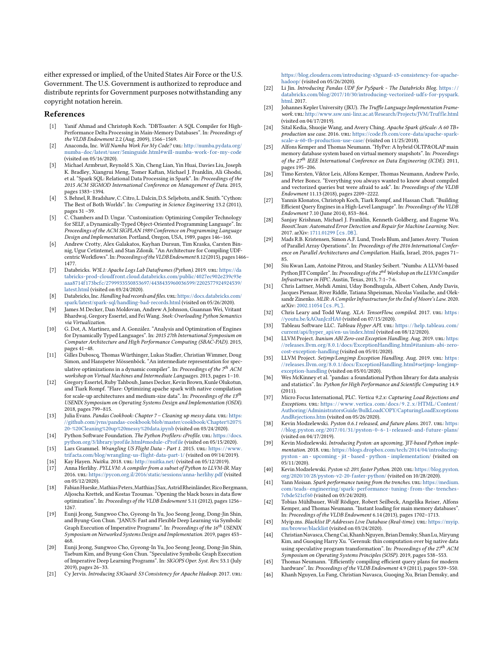either expressed or implied, of the United States Air Force or the U.S. Government. The U.S. Government is authorized to reproduce and distribute reprints for Government purposes notwithstanding any copyright notation herein.

#### References

- <span id="page-12-12"></span>[1] Yanif Ahmad and Christoph Koch. "DBToaster: A SQL Compiler for High-Performance Delta Processing in Main-Memory Databases". In: Proceedings of the VLDB Endowment 2.2 (Aug. 2009), 1566–1569.
- <span id="page-12-4"></span>[2] Anaconda, Inc. Will Numba Work For My Code? url: [http://numba.pydata.org/](http://numba.pydata.org/numba-doc/latest/user/5minguide.html#will-numba-work-for-my-code) [numba- doc/latest/user/5minguide.html#will-numba-work- for-my- code](http://numba.pydata.org/numba-doc/latest/user/5minguide.html#will-numba-work-for-my-code) (visited on 05/16/2020).
- <span id="page-12-39"></span>[3] Michael Armbrust, Reynold S. Xin, Cheng Lian, Yin Huai, Davies Liu, Joseph K. Bradley, Xiangrui Meng, Tomer Kaftan, Michael J. Franklin, Ali Ghodsi, et al. "Spark SQL: Relational Data Processing in Spark". In: Proceedings of the 2015 ACM SIGMOD International Conference on Management of Data. 2015, pages 1383–1394.
- <span id="page-12-8"></span>[4] S. Behnel, R. Bradshaw, C. Citro, L. Dalcin, D.S. Seljebotn, and K. Smith. "Cython: The Best of Both Worlds". In: Computing in Science Engineering 13.2 (2011), pages 31 –39.
- <span id="page-12-26"></span>[5] C. Chambers and D. Ungar. "Customization: Optimizing Compiler Technology for SELF, a Dynamically-Typed Object-Oriented Programming Language". In: Proceedings of the ACM SIGPLAN 1989 Conference on Programming Language Design and Implementation. Portland, Oregon, USA, 1989, pages 146–160.
- <span id="page-12-17"></span>[6] Andrew Crotty, Alex Galakatos, Kayhan Dursun, Tim Kraska, Carsten Binnig, Ugur Cetintemel, and Stan Zdonik. "An Architecture for Compiling UDFcentricWorkflows".In:Proceedings of the VLDB Endowment 8.12(2015), pages 1466– 1477.
- <span id="page-12-36"></span>[7] Databricks. W3L1: Apache Logs Lab Dataframes (Python). 2019. url: [https://da](https://databricks-prod-cloudfront.cloud.databricks.com/public/4027ec902e239c93eaaa8714f173bcfc/2799933550853697/4438435960036599/2202577924924539/latest.html) [tabricks-prod-cloudfront.cloud.databricks.com/public/4027ec902e239c93e](https://databricks-prod-cloudfront.cloud.databricks.com/public/4027ec902e239c93eaaa8714f173bcfc/2799933550853697/4438435960036599/2202577924924539/latest.html) [aaa8714f173bcfc/2799933550853697/4438435960036599/2202577924924539/](https://databricks-prod-cloudfront.cloud.databricks.com/public/4027ec902e239c93eaaa8714f173bcfc/2799933550853697/4438435960036599/2202577924924539/latest.html) [latest.html](https://databricks-prod-cloudfront.cloud.databricks.com/public/4027ec902e239c93eaaa8714f173bcfc/2799933550853697/4438435960036599/2202577924924539/latest.html) (visited on 03/24/2020).
- <span id="page-12-19"></span>[8] Databricks, Inc. Handling bad records and files. URL: https://docs.databricks.com/ [spark/latest/spark-sql/handling-bad-records.html](https://docs.databricks.com/spark/latest/spark-sql/handling-bad-records.html) (visited on 05/26/2020).
- <span id="page-12-29"></span>[9] James M Decker, Dan Moldovan, Andrew A Johnson, Guannan Wei, Vritant Bhardwaj, Gregory Essertel, and Fei Wang. Snek: Overloading Python Semantics via Virtualization.
- <span id="page-12-24"></span>[10] G. Dot, A. Martínez, and A. González. "Analysis and Optimization of Engines for Dynamically Typed Languages". In: 2015 27th International Symposium on Computer Architecture and High Performance Computing (SBAC-PAD). 2015, pages 41–48.
- <span id="page-12-21"></span>[11] Gilles Duboscq, Thomas Würthinger, Lukas Stadler, Christian Wimmer, Doug Simon, and Hanspeter Mössenböck. "An intermediate representation for speculative optimizations in a dynamic compiler". In: Proceedings of the  $7<sup>th</sup>$  ACM workshop on Virtual Machines and Intermediate Languages. 2013, pages 1–10.
- <span id="page-12-14"></span>[12] Gregory Essertel, Ruby Tahboub, James Decker, Kevin Brown, Kunle Olukotun, and Tiark Rompf. "Flare: Optimizing apache spark with native compilation for scale-up architectures and medium-size data". In: Proceedings of the  $13^{th}$ USENIX Symposium on Operating Systems Design and Implementation (OSDI). 2018, pages 799–815.
- <span id="page-12-38"></span>[13] Julia Evans. Pandas Cookbook: Chapter 7 - Cleaning up messy data. URL: [https:](https://github.com/jvns/pandas-cookbook/blob/master/cookbook/Chapter%207%20-%20Cleaning%20up%20messy%20data.ipynb) [//github.com/jvns/pandas-cookbook/blob/master/cookbook/Chapter%207%](https://github.com/jvns/pandas-cookbook/blob/master/cookbook/Chapter%207%20-%20Cleaning%20up%20messy%20data.ipynb) [20-%20Cleaning%20up%20messy%20data.ipynb](https://github.com/jvns/pandas-cookbook/blob/master/cookbook/Chapter%207%20-%20Cleaning%20up%20messy%20data.ipynb) (visited on 03/24/2020).
- <span id="page-12-40"></span>[14] Python Software Foundation. The Python Profilers: cProfile. URL: [https://docs.](https://docs.python.org/3/library/profile.html#module-cProfile) [python.org/3/library/profile.html#module-cProfile](https://docs.python.org/3/library/profile.html#module-cProfile) (visited on 05/15/2020).
- <span id="page-12-35"></span>[15] Lars Grammel. Wrangling US Flight Data - Part 1. 2015. URL: [https://www.](https://www.trifacta.com/blog/wrangling-us-flight-data-part-1/) [trifacta.com/blog/wrangling-us-flight-data-part-1/](https://www.trifacta.com/blog/wrangling-us-flight-data-part-1/) (visited on 09/14/2019).
- <span id="page-12-9"></span>[16] Kay Hayen. *Nuitka.* 2018. url: <http://nuitka.net/> (visited on 05/12/2019).<br>[17] Anna Herlihy. PYLLVM: A compiler from a subset of Python to LLVM-IR.
- <span id="page-12-18"></span>Anna Herlihy. PYLLVM: A compiler from a subset of Python to LLVM-IR. May 2016. url: <https://pycon.org.il/2016/static/sessions/anna-herlihy.pdf> (visited on 05/12/2020).
- <span id="page-12-16"></span>[18] FabianHueske,Mathias Peters,Matthias JSax,Astrid Rheinländer, Rico Bergmann, Aljoscha Krettek, and Kostas Tzoumas. "Opening the black boxes in data flow optimization". In: Proceedings of the VLDB Endowment 5.11 (2012), pages 1256– 1267.
- <span id="page-12-27"></span>[19] Eunji Jeong, Sungwoo Cho, Gyeong-In Yu, Joo Seong Jeong, Dong-Jin Shin, and Byung-Gon Chun. "JANUS: Fast and Flexible Deep Learning via Symbolic Graph Execution of Imperative Programs". In:  $Proceedings of the \ 16^{th} \ USENIX$ Symposium on Networked Systems Design and Implementation. 2019, pages 453– 468.
- <span id="page-12-28"></span>[20] Eunji Jeong, Sungwoo Cho, Gyeong-In Yu, Joo Seong Jeong, Dong-Jin Shin, Taebum Kim, and Byung-Gon Chun. "Speculative Symbolic Graph Execution of Imperative Deep Learning Programs". In: SIGOPS Oper. Syst. Rev. 53.1 (July 2019), pages 26–33.
- <span id="page-12-44"></span>[21] Cy Jervis. Introducing S3Guard: S3 Consistency for Apache Hadoop. 2017. URL:

[https://blog.cloudera.com/introducing-s3guard-s3-consistency-for-apache](https://blog.cloudera.com/introducing-s3guard-s3-consistency-for-apache-hadoop/)[hadoop/](https://blog.cloudera.com/introducing-s3guard-s3-consistency-for-apache-hadoop/) (visited on 05/26/2020).

- <span id="page-12-10"></span>[22] Li Jin. Introducing Pandas UDF for PySpark - The Databricks Blog. https:// [databricks.com/blog/2017/10/30/introducing-vectorized-udfs-for-pyspark.](https://databricks.com/blog/2017/10/30/introducing-vectorized-udfs-for-pyspark.html) [html.](https://databricks.com/blog/2017/10/30/introducing-vectorized-udfs-for-pyspark.html) 2017.
- <span id="page-12-2"></span>[23] Johannes Kepler University (JKU). The Truffle Language Implementation Framework. url: [http://www.ssw.uni-linz.ac.at/Research/Projects/JVM/Truf fle.html](http://www.ssw.uni-linz.ac.at/Research/Projects/JVM/Truffle.html) (visited on 04/17/2019).
- <span id="page-12-45"></span>[24] Sital Kedia, Shuojie Wang, and Avery Ching. Apache Spark @Scale: A 60 TB+ production use case. 2016. URL: [https://code.fb.com/core-data/apache-spark](https://code.fb.com/core-data/apache-spark-scale-a-60-tb-production-use-case/)[scale-a-60-tb-production-use-case/](https://code.fb.com/core-data/apache-spark-scale-a-60-tb-production-use-case/) (visited on 11/25/2018).
- <span id="page-12-1"></span>[25] Alfons Kemper and Thomas Neumann. "HyPer: A hybrid OLTP&OLAP main memory database system based on virtual memory snapshots". In: Proceedings of the  $27^{th}$  IEEE International Conference on Data Engineering (ICDE). 2011, pages 195–206.
- <span id="page-12-15"></span>[26] Timo Kersten, Viktor Leis, Alfons Kemper, Thomas Neumann, Andrew Pavlo, and Peter Boncz. "Everything you always wanted to know about compiled and vectorized queries but were afraid to ask". In: Proceedings of the VLDB Endowment 11.13 (2018), pages 2209–2222.
- <span id="page-12-13"></span>[27] Yannis Klonatos, Christoph Koch, Tiark Rompf, and Hassan Chafi. "Building Efficient Query Engines in a High-Level Language". In: Proceedings of the VLDB Endowment 7.10 (June 2014), 853–864.
- <span id="page-12-25"></span>[28] Sanjay Krishnan, Michael J. Franklin, Kenneth Goldberg, and Eugene Wu. BoostClean: Automated Error Detection and Repair for Machine Learning. Nov. 2017. arXiv: [1711.01299](http://arxiv.org/abs/1711.01299) [cs.DB].
- <span id="page-12-34"></span>[29] Mads R.B. Kristensen, Simon A.F. Lund, Troels Blum, and James Avery. "Fusion of Parallel Array Operations". In: Proceedings of the 2016 International Conference on Parallel Architectures and Compilation. Haifa, Israel, 2016, pages 71– 85.
- <span id="page-12-3"></span>[30] Siu Kwan Lam, Antoine Pitrou, and Stanley Seibert. "Numba: A LLVM-based Python JIT Compiler". In: Proceedings of the 2<sup>nd</sup> Workshop on the LLVM Compiler Infrastructure in HPC. Austin, Texas, 2015, 7:1–7:6.
- <span id="page-12-11"></span>[31] Chris Lattner, Mehdi Amini, Uday Bondhugula, Albert Cohen, Andy Davis, Jacques Pienaar, River Riddle, Tatiana Shpeisman, Nicolas Vasilache, and Oleksandr Zinenko. MLIR: A Compiler Infrastructure for the End of Moore's Law. 2020. arXiv: [2002.11054](http://arxiv.org/abs/2002.11054) [cs.PL].
- <span id="page-12-22"></span>[32] Chris Leary and Todd Wang. XLA: TensorFlow, compiled. 2017. URL: https: [//youtu.be/kAOanJczHA0](https://youtu.be/kAOanJczHA0) (visited on 07/15/2020).
- <span id="page-12-42"></span>[33] Tableau Software LLC. Tableau Hyper API. uni. [https://help.tableau.com/](https://help.tableau.com/current/api/hyper_api/en-us/index.html) [current/api/hyper\\_api/en-us/index.html](https://help.tableau.com/current/api/hyper_api/en-us/index.html) (visited on  $\overline{08/12/2020}$ ).
- <span id="page-12-32"></span>[34] LLVM Project. Itanium ABI Zero-cost Exception Handling. Aug. 2019. url: [https:](https://releases.llvm.org/8.0.1/docs/ExceptionHandling.html#itanium-abi-zero-cost-exception-handling) [//releases.llvm.org/8.0.1/docs/ExceptionHandling.html#itanium-abi-zero](https://releases.llvm.org/8.0.1/docs/ExceptionHandling.html#itanium-abi-zero-cost-exception-handling)[cost-exception-handling](https://releases.llvm.org/8.0.1/docs/ExceptionHandling.html#itanium-abi-zero-cost-exception-handling) (visited on 05/01/2020).
- <span id="page-12-33"></span>[35] LLVM Project. Setjmp/Longjmp Exception Handling. Aug. 2019. url: https: [//releases.llvm.org/8.0.1/docs/ExceptionHandling.html#setjmp-longjmp](https://releases.llvm.org/8.0.1/docs/ExceptionHandling.html#setjmp-longjmp-exception-handling)[exception-handling](https://releases.llvm.org/8.0.1/docs/ExceptionHandling.html#setjmp-longjmp-exception-handling) (visited on 05/01/2020).
- <span id="page-12-41"></span>[36] Wes McKinney et al. "pandas: a foundational Python library for data analysis and statistics". In: Python for High Performance and Scientific Computing 14.9 (2011).
- <span id="page-12-20"></span>[37] Micro Focus International, PLC. Vertica 9.2.x: Capturing Load Rejections and Exceptions. URL: https://www.vertica.com/docs/9.2.x/HTML/Content/ [Authoring/AdministratorsGuide/BulkLoadCOPY/CapturingLoadExceptions](https://www.vertica.com/docs/9.2.x/HTML/Content/Authoring/AdministratorsGuide/BulkLoadCOPY/CapturingLoadExceptionsAndRejections.htm) [AndRejections.htm](https://www.vertica.com/docs/9.2.x/HTML/Content/Authoring/AdministratorsGuide/BulkLoadCOPY/CapturingLoadExceptionsAndRejections.htm) (visited on 05/26/2020).
- <span id="page-12-6"></span>[38] Kevin Modzelewski. Pyston 0.6.1 released, and future plans. 2017. URL: [https:](https://blog.pyston.org/2017/01/31/pyston-0-6-1-released-and-future-plans/) [//blog.pyston.org/2017/01/31/pyston- 0- 6- 1- released- and- future- plans/](https://blog.pyston.org/2017/01/31/pyston-0-6-1-released-and-future-plans/) (visited on 04/17/2019).
- <span id="page-12-5"></span>[39] Kevin Modzelewski. Introducing Pyston: an upcoming, JIT-based Python implementation. 2018. url: [https://blogs.dropbox.com/tech/2014/04/introducing](https://blogs.dropbox.com/tech/2014/04/introducing-pyston-an-upcoming-jit-based-python-implementation/)[pyston - an - upcoming - jit - based - python - implementation/](https://blogs.dropbox.com/tech/2014/04/introducing-pyston-an-upcoming-jit-based-python-implementation/) (visited on  $05/11/2020$ ).
- <span id="page-12-7"></span>[40] Kevin Modzelewski. Pyston v2: 20% faster Python. 2020. url: [https://blog.pyston.](https://blog.pyston.org/2020/10/28/pyston-v2-20-faster-python/) [org/2020/10/28/pyston-v2-20-faster-python/](https://blog.pyston.org/2020/10/28/pyston-v2-20-faster-python/) (visited on 10/28/2020).
- <span id="page-12-0"></span> $\left[ 41\right]$  Yann Moisan. Spark performance tuning from the trenches. URL: [https://medium.](https://medium.com/teads-engineering/spark-performance-tuning-from-the-trenches-7cbde521cf60) [com/teads- engineering/spark- performance- tuning- from- the- trenches-](https://medium.com/teads-engineering/spark-performance-tuning-from-the-trenches-7cbde521cf60)[7cbde521cf60](https://medium.com/teads-engineering/spark-performance-tuning-from-the-trenches-7cbde521cf60) (visited on 03/24/2020).
- <span id="page-12-43"></span>[42] Tobias Mühlbauer, Wolf Rödiger, Robert Seilbeck, Angelika Reiser, Alfons Kemper, and Thomas Neumann. "Instant loading for main memory databases". In: Proceedings of the VLDB Endowment 6.14 (2013), pages 1702–1713.
- <span id="page-12-37"></span>[43] Myip.ms. Blacklist IP Addresses Live Database (Real-time). URL: [https://myip.](https://myip.ms/browse/blacklist) [ms/browse/blacklist](https://myip.ms/browse/blacklist) (visited on 03/24/2020).
- <span id="page-12-30"></span>[44] ChristianNavasca,ChengCai,KhanhNguyen, Brian Demsky,Shan Lu,Miryung Kim, and Guoqing Harry Xu. "Gerenuk: thin computation over big native data using speculative program transformation". In: Proceedings of the  $27<sup>th</sup>$  ACM Symposium on Operating Systems Principles (SOSP). 2019, pages 538–553.
- <span id="page-12-23"></span>[45] Thomas Neumann. "Efficiently compiling efficient query plans for modern hardware". In: Proceedings of the VLDB Endowment  $4.9(2011)$ , pages 539–550.
- <span id="page-12-31"></span>[46] Khanh Nguyen, Lu Fang, Christian Navasca, Guoqing Xu, Brian Demsky, and